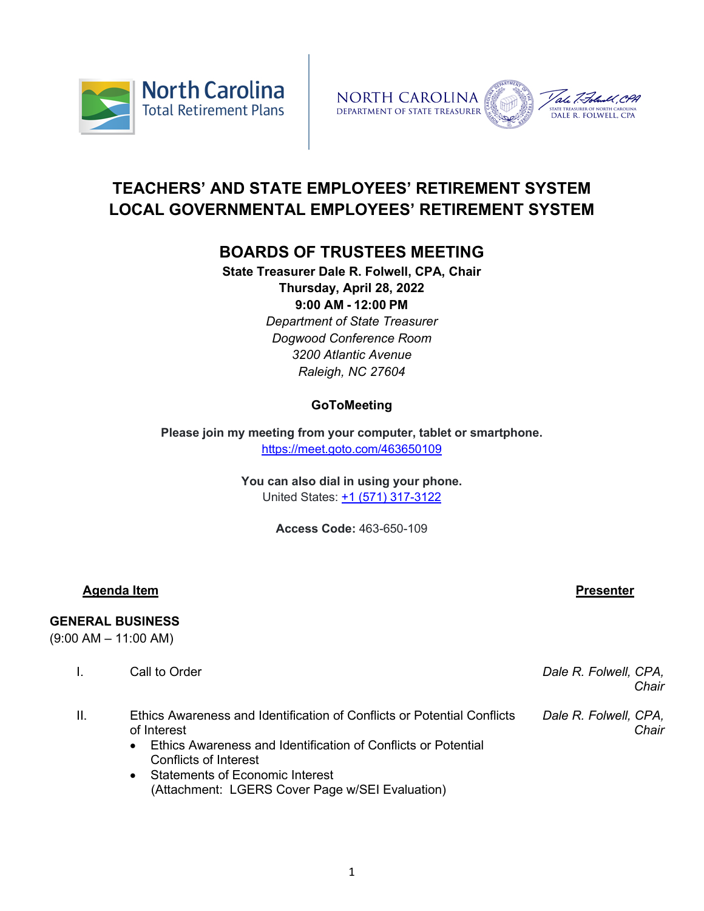



# **TEACHERS' AND STATE EMPLOYEES' RETIREMENT SYSTEM LOCAL GOVERNMENTAL EMPLOYEES' RETIREMENT SYSTEM**

## **BOARDS OF TRUSTEES MEETING**

**State Treasurer Dale R. Folwell, CPA, Chair Thursday, April 28, 2022 9:00 AM - 12:00 PM** *Department of State Treasurer Dogwood Conference Room 3200 Atlantic Avenue Raleigh, NC 27604*

## **GoToMeeting**

**Please join my meeting from your computer, tablet or smartphone.** <https://meet.goto.com/463650109>

> **You can also dial in using your phone.** United States: [+1 \(571\) 317-3122](tel:+15713173122,,463650109)

> > **Access Code:** 463-650-109

### **Agenda Item Presenter**

### **GENERAL BUSINESS**

(9:00 AM – 11:00 AM)

| Call to Order | Dale R. Folwell, CPA, |
|---------------|-----------------------|
|               | Chair                 |
|               |                       |

- II. Ethics Awareness and Identification of Conflicts or Potential Conflicts of Interest *Dale R. Folwell, CPA, Chair*
	- Ethics Awareness and Identification of Conflicts or Potential Conflicts of Interest
	- Statements of Economic Interest (Attachment: LGERS Cover Page w/SEI Evaluation)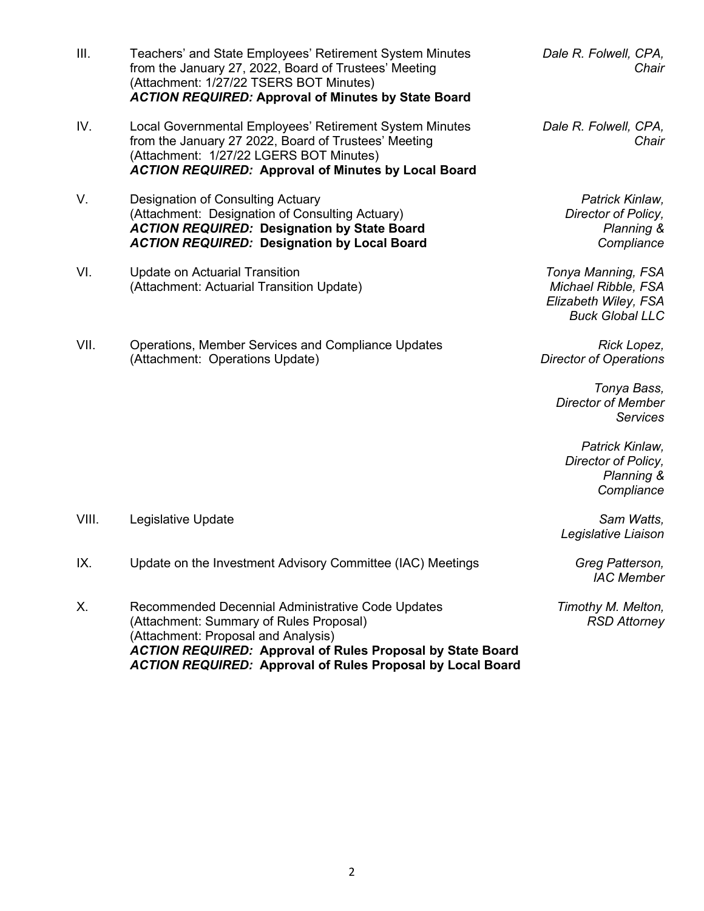- III. Teachers' and State Employees' Retirement System Minutes from the January 27, 2022, Board of Trustees' Meeting (Attachment: 1/27/22 TSERS BOT Minutes) *ACTION REQUIRED:* **Approval of Minutes by State Board**
- IV. Local Governmental Employees' Retirement System Minutes from the January 27 2022, Board of Trustees' Meeting (Attachment: 1/27/22 LGERS BOT Minutes) *ACTION REQUIRED:* **Approval of Minutes by Local Board**
- V. Designation of Consulting Actuary (Attachment: Designation of Consulting Actuary) *ACTION REQUIRED:* **Designation by State Board** *ACTION REQUIRED:* **Designation by Local Board**
- VI. Update on Actuarial Transition (Attachment: Actuarial Transition Update)
- VII. Operations, Member Services and Compliance Updates (Attachment: Operations Update)

*Dale R. Folwell, CPA, Chair*

*Dale R. Folwell, CPA, Chair*

> *Patrick Kinlaw, Director of Policy, Planning & Compliance*

*Tonya Manning, FSA Michael Ribble, FSA Elizabeth Wiley, FSA Buck Global LLC*

*Rick Lopez, Director of Operations*

> *Tonya Bass, Director of Member Services*

*Patrick Kinlaw, Director of Policy, Planning & Compliance*

*Legislative Liaison*

*IAC Member* 

*Timothy M. Melton, RSD Attorney*

- VIII. Legislative Update *Sam Watts,*
- IX. Update on the Investment Advisory Committee (IAC) Meetings *Greg Patterson,*
- X. Recommended Decennial Administrative Code Updates (Attachment: Summary of Rules Proposal) (Attachment: Proposal and Analysis) *ACTION REQUIRED:* **Approval of Rules Proposal by State Board** *ACTION REQUIRED:* **Approval of Rules Proposal by Local Board**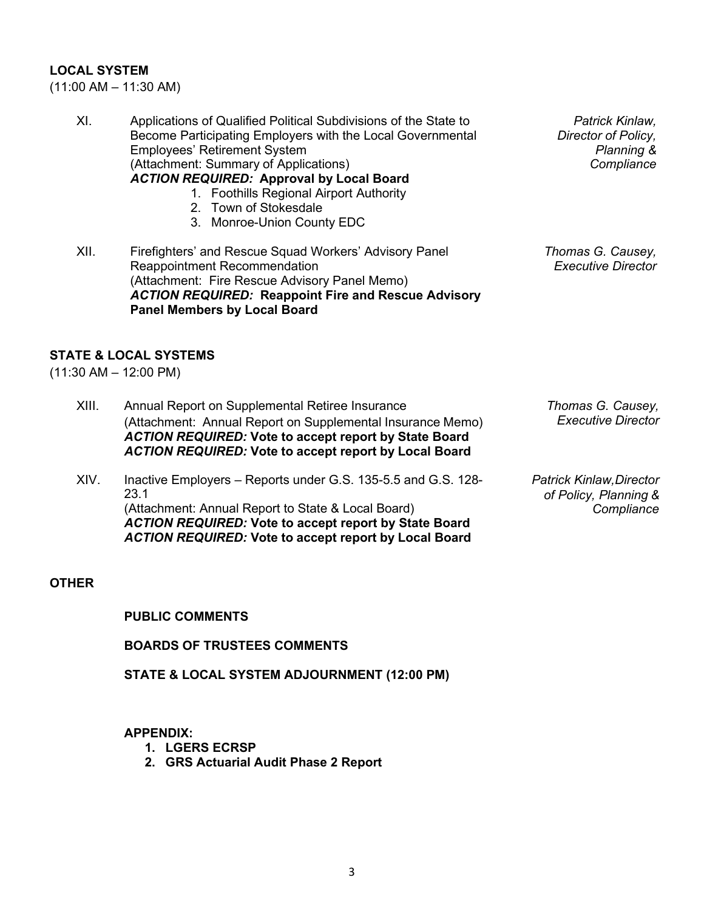#### **LOCAL SYSTEM**

(11:00 AM – 11:30 AM)

XI. Applications of Qualified Political Subdivisions of the State to Become Participating Employers with the Local Governmental Employees' Retirement System (Attachment: Summary of Applications) *ACTION REQUIRED:* **Approval by Local Board** 1. Foothills Regional Airport Authority 2. Town of Stokesdale 3. Monroe-Union County EDC

XII. Firefighters' and Rescue Squad Workers' Advisory Panel Reappointment Recommendation (Attachment: Fire Rescue Advisory Panel Memo) *ACTION REQUIRED:* **Reappoint Fire and Rescue Advisory Panel Members by Local Board**

**STATE & LOCAL SYSTEMS**

(11:30 AM – 12:00 PM)

- XIII. Annual Report on Supplemental Retiree Insurance (Attachment: Annual Report on Supplemental Insurance Memo) *ACTION REQUIRED:* **Vote to accept report by State Board** *ACTION REQUIRED:* **Vote to accept report by Local Board**
- XIV. Inactive Employers Reports under G.S. 135-5.5 and G.S. 128- 23.1 (Attachment: Annual Report to State & Local Board) *ACTION REQUIRED:* **Vote to accept report by State Board** *ACTION REQUIRED:* **Vote to accept report by Local Board**

*Thomas G. Causey, Executive Director*

*Patrick Kinlaw,Director of Policy, Planning & Compliance*

#### **OTHER**

**PUBLIC COMMENTS**

**BOARDS OF TRUSTEES COMMENTS**

**STATE & LOCAL SYSTEM ADJOURNMENT (12:00 PM)**

**APPENDIX:** 

- **1. LGERS ECRSP**
- **2. GRS Actuarial Audit Phase 2 Report**

*Thomas G. Causey, Executive Director*